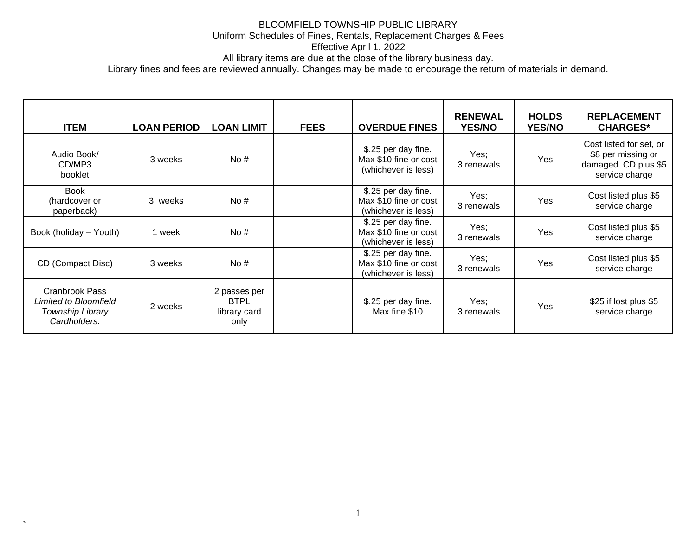All library items are due at the close of the library business day.

Library fines and fees are reviewed annually. Changes may be made to encourage the return of materials in demand.

| <b>ITEM</b>                                                                        | <b>LOAN PERIOD</b> | <b>LOAN LIMIT</b>                                   | <b>FEES</b> | <b>OVERDUE FINES</b>                                                | <b>RENEWAL</b><br><b>YES/NO</b> | <b>HOLDS</b><br><b>YES/NO</b> | <b>REPLACEMENT</b><br><b>CHARGES*</b>                                                   |
|------------------------------------------------------------------------------------|--------------------|-----------------------------------------------------|-------------|---------------------------------------------------------------------|---------------------------------|-------------------------------|-----------------------------------------------------------------------------------------|
| Audio Book/<br>CD/MP3<br>booklet                                                   | 3 weeks            | No#                                                 |             | \$.25 per day fine.<br>Max \$10 fine or cost<br>(whichever is less) | Yes;<br>3 renewals              | Yes                           | Cost listed for set, or<br>\$8 per missing or<br>damaged. CD plus \$5<br>service charge |
| Book<br>(hardcover or<br>paperback)                                                | 3 weeks            | No#                                                 |             | \$.25 per day fine.<br>Max \$10 fine or cost<br>(whichever is less) | Yes;<br>3 renewals              | Yes                           | Cost listed plus \$5<br>service charge                                                  |
| Book (holiday - Youth)                                                             | 1 week             | No#                                                 |             | \$.25 per day fine.<br>Max \$10 fine or cost<br>(whichever is less) | Yes:<br>3 renewals              | <b>Yes</b>                    | Cost listed plus \$5<br>service charge                                                  |
| CD (Compact Disc)                                                                  | 3 weeks            | No#                                                 |             | \$.25 per day fine.<br>Max \$10 fine or cost<br>(whichever is less) | Yes;<br>3 renewals              | Yes                           | Cost listed plus \$5<br>service charge                                                  |
| <b>Cranbrook Pass</b><br>Limited to Bloomfield<br>Township Library<br>Cardholders. | 2 weeks            | 2 passes per<br><b>BTPL</b><br>library card<br>only |             | \$.25 per day fine.<br>Max fine \$10                                | Yes;<br>3 renewals              | Yes                           | \$25 if lost plus \$5<br>service charge                                                 |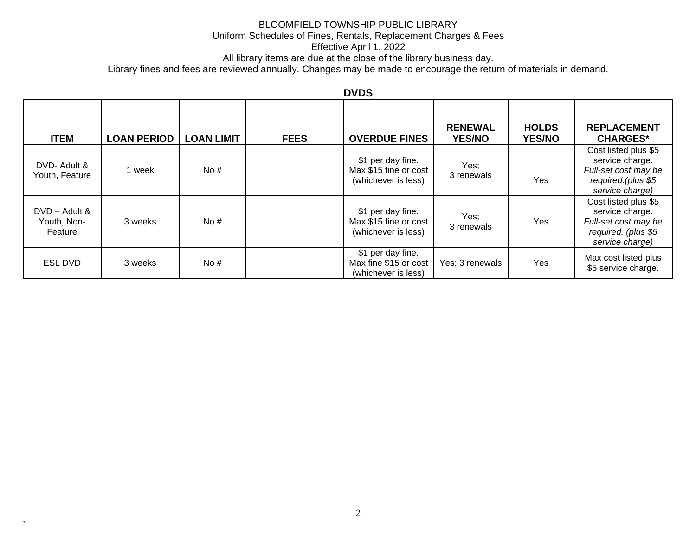# BLOOMFIELD TOWNSHIP PUBLIC LIBRARY

### Uniform Schedules of Fines, Rentals, Replacement Charges & Fees

Effective April 1, 2022

All library items are due at the close of the library business day.

Library fines and fees are reviewed annually. Changes may be made to encourage the return of materials in demand.

## **DVDS**

| <b>ITEM</b>                               | <b>LOAN PERIOD</b> | <b>LOAN LIMIT</b> | <b>FEES</b> | <b>OVERDUE FINES</b>                                              | <b>RENEWAL</b><br><b>YES/NO</b> | <b>HOLDS</b><br><b>YES/NO</b> | <b>REPLACEMENT</b><br><b>CHARGES*</b>                                                                     |
|-------------------------------------------|--------------------|-------------------|-------------|-------------------------------------------------------------------|---------------------------------|-------------------------------|-----------------------------------------------------------------------------------------------------------|
| DVD- Adult &<br>Youth, Feature            | 1 week             | No#               |             | \$1 per day fine.<br>Max \$15 fine or cost<br>(whichever is less) | Yes;<br>3 renewals              | Yes                           | Cost listed plus \$5<br>service charge.<br>Full-set cost may be<br>required.(plus \$5<br>service charge)  |
| $DVD - Adult &$<br>Youth, Non-<br>Feature | 3 weeks            | No#               |             | \$1 per day fine.<br>Max \$15 fine or cost<br>(whichever is less) | Yes;<br>3 renewals              | Yes                           | Cost listed plus \$5<br>service charge.<br>Full-set cost may be<br>required. (plus \$5<br>service charge) |
| <b>ESL DVD</b>                            | 3 weeks            | No#               |             | \$1 per day fine.<br>Max fine \$15 or cost<br>(whichever is less) | Yes; 3 renewals                 | Yes                           | Max cost listed plus<br>\$5 service charge.                                                               |

 $\overline{\phantom{a}}$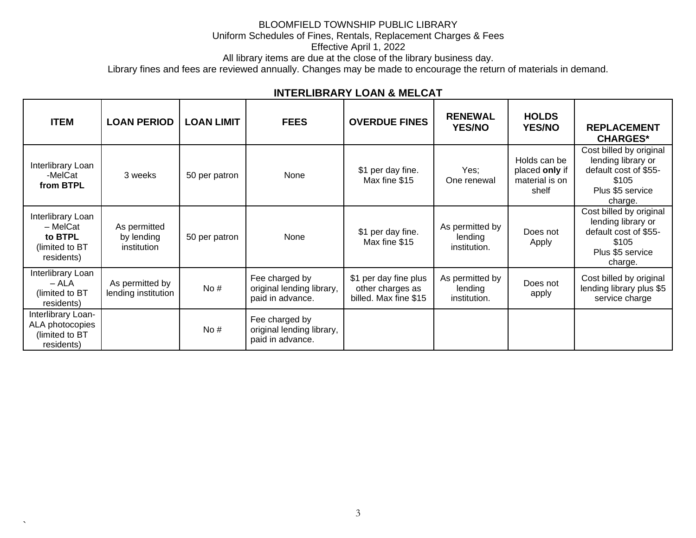Effective April 1, 2022

All library items are due at the close of the library business day.

Library fines and fees are reviewed annually. Changes may be made to encourage the return of materials in demand.

| <b>ITEM</b>                                                              | <b>LOAN PERIOD</b>                        | <b>LOAN LIMIT</b> | <b>FEES</b>                                                     | <b>OVERDUE FINES</b>                                               | <b>RENEWAL</b><br><b>YES/NO</b>            | <b>HOLDS</b><br><b>YES/NO</b>                             | <b>REPLACEMENT</b><br><b>CHARGES*</b>                                                                          |
|--------------------------------------------------------------------------|-------------------------------------------|-------------------|-----------------------------------------------------------------|--------------------------------------------------------------------|--------------------------------------------|-----------------------------------------------------------|----------------------------------------------------------------------------------------------------------------|
| Interlibrary Loan<br>-MelCat<br>from BTPL                                | 3 weeks                                   | 50 per patron     | None                                                            | \$1 per day fine.<br>Max fine \$15                                 | Yes;<br>One renewal                        | Holds can be<br>placed only if<br>material is on<br>shelf | Cost billed by original<br>lending library or<br>default cost of \$55-<br>\$105<br>Plus \$5 service<br>charge. |
| Interlibrary Loan<br>- MelCat<br>to BTPL<br>(limited to BT<br>residents) | As permitted<br>by lending<br>institution | 50 per patron     | None                                                            | \$1 per day fine.<br>Max fine \$15                                 | As permitted by<br>lending<br>institution. | Does not<br>Apply                                         | Cost billed by original<br>lending library or<br>default cost of \$55-<br>\$105<br>Plus \$5 service<br>charge. |
| Interlibrary Loan<br>– ALA<br>(limited to BT<br>residents)               | As permitted by<br>lending institution    | No $#$            | Fee charged by<br>original lending library,<br>paid in advance. | \$1 per day fine plus<br>other charges as<br>billed. Max fine \$15 | As permitted by<br>lending<br>institution. | Does not<br>apply                                         | Cost billed by original<br>lending library plus \$5<br>service charge                                          |
| Interlibrary Loan-<br>ALA photocopies<br>(limited to BT<br>residents)    |                                           | No $#$            | Fee charged by<br>original lending library,<br>paid in advance. |                                                                    |                                            |                                                           |                                                                                                                |

# **INTERLIBRARY LOAN & MELCAT**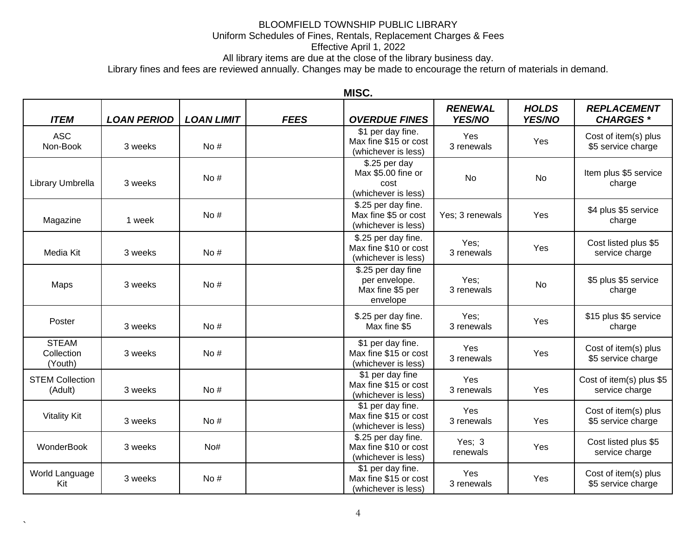Effective April 1, 2022

All library items are due at the close of the library business day.

Library fines and fees are reviewed annually. Changes may be made to encourage the return of materials in demand.

| <b>ITEM</b>                           | <b>LOAN PERIOD</b> | <b>LOAN LIMIT</b> | <b>FEES</b> | <b>OVERDUE FINES</b>                                                | <b>RENEWAL</b><br>YES/NO | <b>HOLDS</b><br>YES/NO | <b>REPLACEMENT</b><br><b>CHARGES*</b>      |
|---------------------------------------|--------------------|-------------------|-------------|---------------------------------------------------------------------|--------------------------|------------------------|--------------------------------------------|
| <b>ASC</b><br>Non-Book                | 3 weeks            | No#               |             | \$1 per day fine.<br>Max fine \$15 or cost<br>(whichever is less)   | Yes<br>3 renewals        | Yes                    | Cost of item(s) plus<br>\$5 service charge |
| Library Umbrella                      | 3 weeks            | No $#$            |             | \$.25 per day<br>Max \$5.00 fine or<br>cost<br>(whichever is less)  | <b>No</b>                | <b>No</b>              | Item plus \$5 service<br>charge            |
| Magazine                              | 1 week             | No#               |             | \$.25 per day fine.<br>Max fine \$5 or cost<br>(whichever is less)  | Yes: 3 renewals          | Yes                    | \$4 plus \$5 service<br>charge             |
| Media Kit                             | 3 weeks            | No $#$            |             | \$.25 per day fine.<br>Max fine \$10 or cost<br>(whichever is less) | Yes;<br>3 renewals       | Yes                    | Cost listed plus \$5<br>service charge     |
| Maps                                  | 3 weeks            | No#               |             | \$.25 per day fine<br>per envelope.<br>Max fine \$5 per<br>envelope | Yes:<br>3 renewals       | <b>No</b>              | \$5 plus \$5 service<br>charge             |
| Poster                                | 3 weeks            | No#               |             | \$.25 per day fine.<br>Max fine \$5                                 | Yes;<br>3 renewals       | Yes                    | \$15 plus \$5 service<br>charge            |
| <b>STEAM</b><br>Collection<br>(Youth) | 3 weeks            | No#               |             | \$1 per day fine.<br>Max fine \$15 or cost<br>(whichever is less)   | Yes<br>3 renewals        | Yes                    | Cost of item(s) plus<br>\$5 service charge |
| <b>STEM Collection</b><br>(Adult)     | 3 weeks            | No $#$            |             | \$1 per day fine<br>Max fine \$15 or cost<br>(whichever is less)    | Yes<br>3 renewals        | Yes                    | Cost of item(s) plus \$5<br>service charge |
| <b>Vitality Kit</b>                   | 3 weeks            | No $#$            |             | \$1 per day fine.<br>Max fine \$15 or cost<br>(whichever is less)   | Yes<br>3 renewals        | Yes                    | Cost of item(s) plus<br>\$5 service charge |
| WonderBook                            | 3 weeks            | No#               |             | \$.25 per day fine.<br>Max fine \$10 or cost<br>(whichever is less) | Yes; $3$<br>renewals     | Yes                    | Cost listed plus \$5<br>service charge     |
| World Language<br>Kit                 | 3 weeks            | No#               |             | \$1 per day fine.<br>Max fine \$15 or cost<br>(whichever is less)   | Yes<br>3 renewals        | Yes                    | Cost of item(s) plus<br>\$5 service charge |

### **MISC.**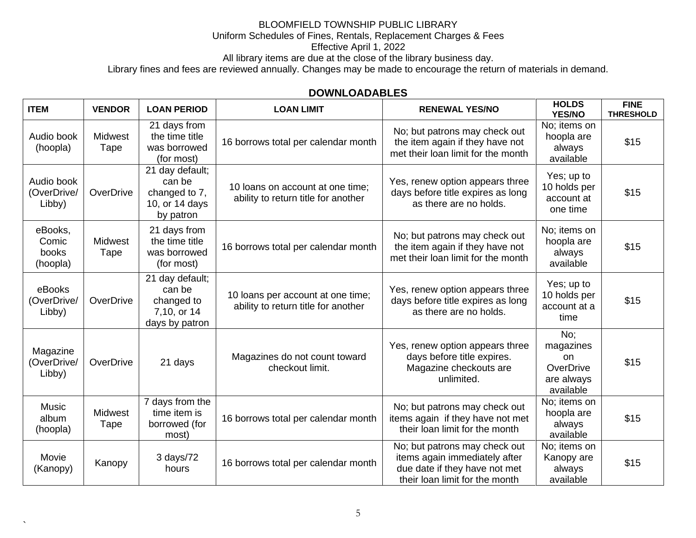All library items are due at the close of the library business day.

Library fines and fees are reviewed annually. Changes may be made to encourage the return of materials in demand.

### **DOWNLOADABLES**

| <b>ITEM</b>                           | <b>VENDOR</b>          | <b>LOAN PERIOD</b>                                                        | <b>LOAN LIMIT</b>                                                        | <b>RENEWAL YES/NO</b>                                                                                                             | <b>HOLDS</b><br><b>YES/NO</b>                                  | <b>FINE</b><br><b>THRESHOLD</b> |
|---------------------------------------|------------------------|---------------------------------------------------------------------------|--------------------------------------------------------------------------|-----------------------------------------------------------------------------------------------------------------------------------|----------------------------------------------------------------|---------------------------------|
| Audio book<br>(hoopla)                | Midwest<br>Tape        | 21 days from<br>the time title<br>was borrowed<br>(for most)              | 16 borrows total per calendar month                                      | No; but patrons may check out<br>the item again if they have not<br>met their loan limit for the month                            | No; items on<br>hoopla are<br>always<br>available              | \$15                            |
| Audio book<br>(OverDrive/<br>Libby)   | OverDrive              | 21 day default;<br>can be<br>changed to 7,<br>10, or 14 days<br>by patron | 10 loans on account at one time;<br>ability to return title for another  | Yes, renew option appears three<br>days before title expires as long<br>as there are no holds.                                    | Yes; up to<br>10 holds per<br>account at<br>one time           | \$15                            |
| eBooks,<br>Comic<br>books<br>(hoopla) | <b>Midwest</b><br>Tape | 21 days from<br>the time title<br>was borrowed<br>(for most)              | 16 borrows total per calendar month                                      | No; but patrons may check out<br>the item again if they have not<br>met their loan limit for the month                            | No; items on<br>hoopla are<br>always<br>available              | \$15                            |
| eBooks<br>(OverDrive/<br>Libby)       | OverDrive              | 21 day default;<br>can be<br>changed to<br>7,10, or 14<br>days by patron  | 10 loans per account at one time;<br>ability to return title for another | Yes, renew option appears three<br>days before title expires as long<br>as there are no holds.                                    | Yes; up to<br>10 holds per<br>account at a<br>time             | \$15                            |
| Magazine<br>(OverDrive/<br>Libby)     | OverDrive              | 21 days                                                                   | Magazines do not count toward<br>checkout limit.                         | Yes, renew option appears three<br>days before title expires.<br>Magazine checkouts are<br>unlimited.                             | No;<br>magazines<br>on<br>OverDrive<br>are always<br>available | \$15                            |
| <b>Music</b><br>album<br>(hoopla)     | <b>Midwest</b><br>Tape | 7 days from the<br>time item is<br>borrowed (for<br>most)                 | 16 borrows total per calendar month                                      | No; but patrons may check out<br>items again if they have not met<br>their loan limit for the month                               | No; items on<br>hoopla are<br>always<br>available              | \$15                            |
| Movie<br>(Kanopy)                     | Kanopy                 | 3 days/72<br>hours                                                        | 16 borrows total per calendar month                                      | No; but patrons may check out<br>items again immediately after<br>due date if they have not met<br>their loan limit for the month | No; items on<br>Kanopy are<br>always<br>available              | \$15                            |

 $\lambda$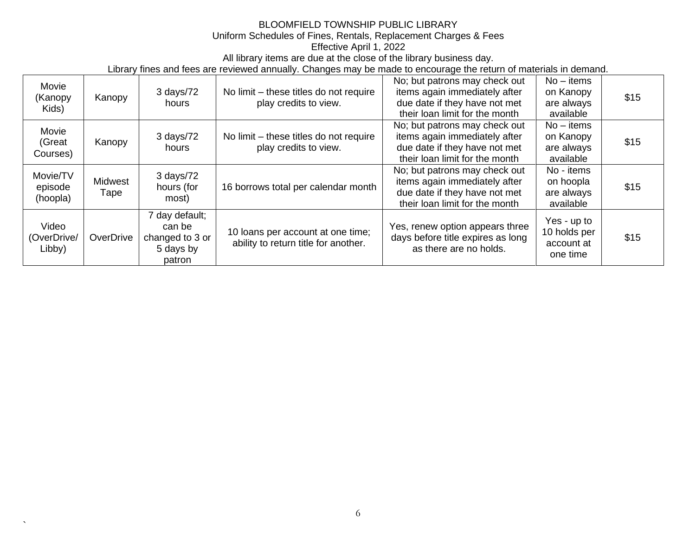All library items are due at the close of the library business day.

Library fines and fees are reviewed annually. Changes may be made to encourage the return of materials in demand.

| Movie<br>(Kanopy<br>Kids)       | Kanopy          | 3 days/72<br>hours                                                 | No limit – these titles do not require<br>play credits to view.           | No; but patrons may check out<br>items again immediately after<br>due date if they have not met<br>their loan limit for the month | $No - items$<br>on Kanopy<br>are always<br>available  | \$15 |
|---------------------------------|-----------------|--------------------------------------------------------------------|---------------------------------------------------------------------------|-----------------------------------------------------------------------------------------------------------------------------------|-------------------------------------------------------|------|
| Movie<br>(Great<br>Courses)     | Kanopy          | 3 days/72<br>hours                                                 | No limit – these titles do not require<br>play credits to view.           | No; but patrons may check out<br>items again immediately after<br>due date if they have not met<br>their loan limit for the month | $No - items$<br>on Kanopy<br>are always<br>available  | \$15 |
| Movie/TV<br>episode<br>(hoopla) | Midwest<br>Tape | 3 days/72<br>hours (for<br>most)                                   | 16 borrows total per calendar month                                       | No; but patrons may check out<br>items again immediately after<br>due date if they have not met<br>their loan limit for the month | No - items<br>on hoopla<br>are always<br>available    | \$15 |
| Video<br>(OverDrive/<br>Libby)  | OverDrive       | 7 day default;<br>can be<br>changed to 3 or<br>5 days by<br>patron | 10 loans per account at one time;<br>ability to return title for another. | Yes, renew option appears three<br>days before title expires as long<br>as there are no holds.                                    | Yes - up to<br>10 holds per<br>account at<br>one time | \$15 |

 $\overline{\phantom{0}}$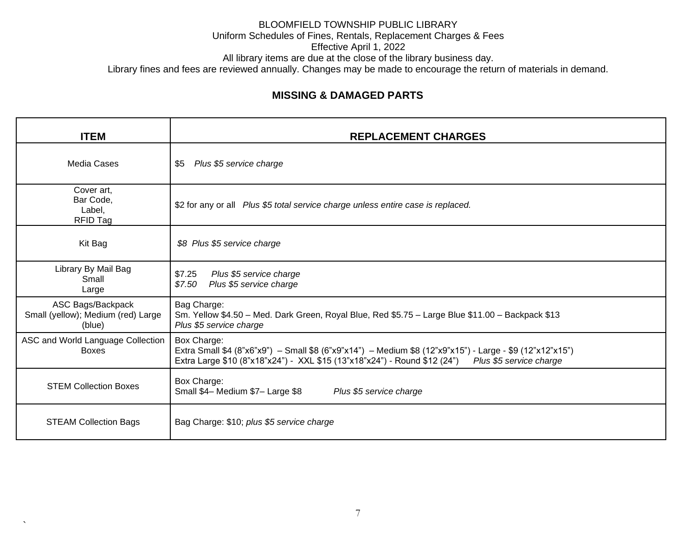# **MISSING & DAMAGED PARTS**

| <b>ITEM</b>                                                       | <b>REPLACEMENT CHARGES</b>                                                                                                                                                                                                      |
|-------------------------------------------------------------------|---------------------------------------------------------------------------------------------------------------------------------------------------------------------------------------------------------------------------------|
| <b>Media Cases</b>                                                | Plus \$5 service charge<br>\$5                                                                                                                                                                                                  |
| Cover art,<br>Bar Code,<br>Label,<br>RFID Tag                     | \$2 for any or all Plus \$5 total service charge unless entire case is replaced.                                                                                                                                                |
| Kit Bag                                                           | \$8 Plus \$5 service charge                                                                                                                                                                                                     |
| Library By Mail Bag<br>Small<br>Large                             | Plus \$5 service charge<br>\$7.25<br>Plus \$5 service charge<br>\$7.50                                                                                                                                                          |
| ASC Bags/Backpack<br>Small (yellow); Medium (red) Large<br>(blue) | Bag Charge:<br>Sm. Yellow \$4.50 - Med. Dark Green, Royal Blue, Red \$5.75 - Large Blue \$11.00 - Backpack \$13<br>Plus \$5 service charge                                                                                      |
| ASC and World Language Collection<br><b>Boxes</b>                 | Box Charge:<br>Extra Small \$4 (8"x6"x9") - Small \$8 (6"x9"x14") - Medium \$8 (12"x9"x15") - Large - \$9 (12"x12"x15")<br>Extra Large \$10 (8"x18"x24") - XXL \$15 (13"x18"x24") - Round \$12 (24")<br>Plus \$5 service charge |
| <b>STEM Collection Boxes</b>                                      | Box Charge:<br>Small \$4- Medium \$7- Large \$8<br>Plus \$5 service charge                                                                                                                                                      |
| <b>STEAM Collection Bags</b>                                      | Bag Charge: \$10; plus \$5 service charge                                                                                                                                                                                       |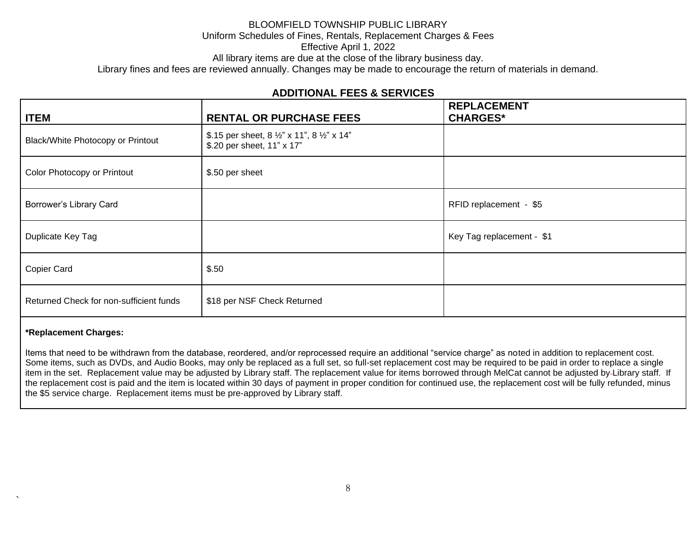All library items are due at the close of the library business day.

Library fines and fees are reviewed annually. Changes may be made to encourage the return of materials in demand.

### **ADDITIONAL FEES & SERVICES**

| <b>ITEM</b>                             | <b>RENTAL OR PURCHASE FEES</b>                                            | <b>REPLACEMENT</b><br><b>CHARGES*</b> |
|-----------------------------------------|---------------------------------------------------------------------------|---------------------------------------|
| Black/White Photocopy or Printout       | \$.15 per sheet, 8 1/2" x 11", 8 1/2" x 14"<br>\$.20 per sheet, 11" x 17" |                                       |
| Color Photocopy or Printout             | \$.50 per sheet                                                           |                                       |
| Borrower's Library Card                 |                                                                           | RFID replacement - \$5                |
| Duplicate Key Tag                       |                                                                           | Key Tag replacement - \$1             |
| Copier Card                             | \$.50                                                                     |                                       |
| Returned Check for non-sufficient funds | \$18 per NSF Check Returned                                               |                                       |

#### **\*Replacement Charges:**

`

Items that need to be withdrawn from the database, reordered, and/or reprocessed require an additional "service charge" as noted in addition to replacement cost. Some items, such as DVDs, and Audio Books, may only be replaced as a full set, so full-set replacement cost may be required to be paid in order to replace a single item in the set. Replacement value may be adjusted by Library staff. The replacement value for items borrowed through MelCat cannot be adjusted by Library staff. If the replacement cost is paid and the item is located within 30 days of payment in proper condition for continued use, the replacement cost will be fully refunded, minus the \$5 service charge. Replacement items must be pre-approved by Library staff.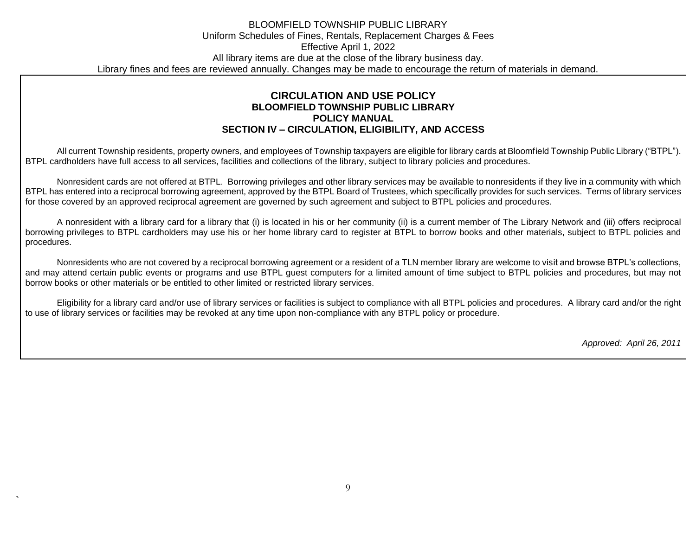#### **CIRCULATION AND USE POLICY BLOOMFIELD TOWNSHIP PUBLIC LIBRARY POLICY MANUAL SECTION IV – CIRCULATION, ELIGIBILITY, AND ACCESS**

All current Township residents, property owners, and employees of Township taxpayers are eligible for library cards at Bloomfield Township Public Library ("BTPL"). BTPL cardholders have full access to all services, facilities and collections of the library, subject to library policies and procedures.

Nonresident cards are not offered at BTPL. Borrowing privileges and other library services may be available to nonresidents if they live in a community with which BTPL has entered into a reciprocal borrowing agreement, approved by the BTPL Board of Trustees, which specifically provides for such services. Terms of library services for those covered by an approved reciprocal agreement are governed by such agreement and subject to BTPL policies and procedures.

A nonresident with a library card for a library that (i) is located in his or her community (ii) is a current member of The Library Network and (iii) offers reciprocal borrowing privileges to BTPL cardholders may use his or her home library card to register at BTPL to borrow books and other materials, subject to BTPL policies and procedures.

Nonresidents who are not covered by a reciprocal borrowing agreement or a resident of a TLN member library are welcome to visit and browse BTPL's collections, and may attend certain public events or programs and use BTPL guest computers for a limited amount of time subject to BTPL policies and procedures, but may not borrow books or other materials or be entitled to other limited or restricted library services.

Eligibility for a library card and/or use of library services or facilities is subject to compliance with all BTPL policies and procedures. A library card and/or the right to use of library services or facilities may be revoked at any time upon non-compliance with any BTPL policy or procedure.

*Approved: April 26, 2011*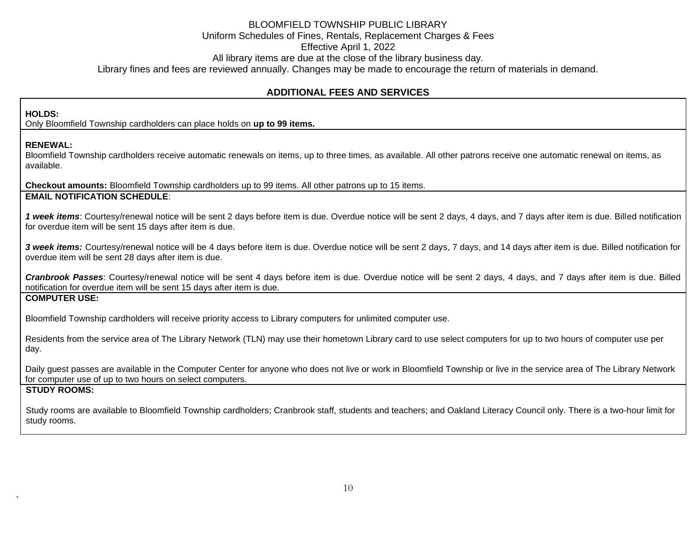### **ADDITIONAL FEES AND SERVICES**

#### **HOLDS:**

Only Bloomfield Township cardholders can place holds on **up to 99 items.**

#### **RENEWAL:**

Bloomfield Township cardholders receive automatic renewals on items, up to three times, as available. All other patrons receive one automatic renewal on items, as available.

**Checkout amounts:** Bloomfield Township cardholders up to 99 items. All other patrons up to 15 items. **EMAIL NOTIFICATION SCHEDULE**:

*1 week items*: Courtesy/renewal notice will be sent 2 days before item is due. Overdue notice will be sent 2 days, 4 days, and 7 days after item is due. Billed notification for overdue item will be sent 15 days after item is due.

3 week items: Courtesy/renewal notice will be 4 days before item is due. Overdue notice will be sent 2 days, 7 days, and 14 days after item is due. Billed notification for overdue item will be sent 28 days after item is due.

*Cranbrook Passes*: Courtesy/renewal notice will be sent 4 days before item is due. Overdue notice will be sent 2 days, 4 days, and 7 days after item is due. Billed notification for overdue item will be sent 15 days after item is due.

#### **COMPUTER USE:**

Bloomfield Township cardholders will receive priority access to Library computers for unlimited computer use.

Residents from the service area of The Library Network (TLN) may use their hometown Library card to use select computers for up to two hours of computer use per day.

Daily guest passes are available in the Computer Center for anyone who does not live or work in Bloomfield Township or live in the service area of The Library Network for computer use of up to two hours on select computers.

#### **STUDY ROOMS:**

`

Study rooms are available to Bloomfield Township cardholders; Cranbrook staff, students and teachers; and Oakland Literacy Council only. There is a two-hour limit for study rooms.